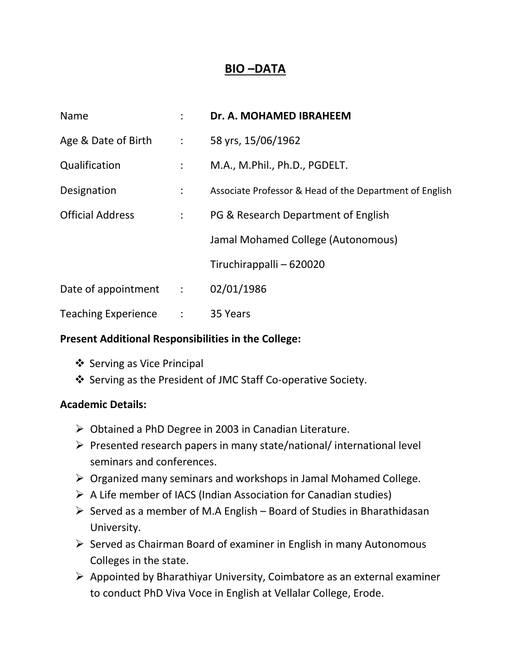## **BIO –DATA**

| Name                                     | $\ddot{\phantom{a}}$      | Dr. A. MOHAMED IBRAHEEM                                 |
|------------------------------------------|---------------------------|---------------------------------------------------------|
| Age & Date of Birth : 58 yrs, 15/06/1962 |                           |                                                         |
| Qualification                            | $\mathbb{Z}^{\mathbb{Z}}$ | M.A., M.Phil., Ph.D., PGDELT.                           |
| Designation                              | $\mathbb{Z}^{\mathbb{Z}}$ | Associate Professor & Head of the Department of English |
| <b>Official Address</b>                  | $\mathbb{Z}^{\mathbb{Z}}$ | PG & Research Department of English                     |
|                                          |                           | Jamal Mohamed College (Autonomous)                      |
|                                          |                           | Tiruchirappalli – 620020                                |
| Date of appointment :                    |                           | 02/01/1986                                              |
| <b>Teaching Experience</b>               |                           | $\therefore$ 35 Years                                   |

## **Present Additional Responsibilities in the College:**

- ❖ Serving as Vice Principal
- ❖ Serving as the President of JMC Staff Co-operative Society.

## **Academic Details:**

- $\triangleright$  Obtained a PhD Degree in 2003 in Canadian Literature.
- $\triangleright$  Presented research papers in many state/national/ international level seminars and conferences.
- $\triangleright$  Organized many seminars and workshops in Jamal Mohamed College.
- $\triangleright$  A Life member of IACS (Indian Association for Canadian studies)
- $\triangleright$  Served as a member of M.A English Board of Studies in Bharathidasan University.
- $\triangleright$  Served as Chairman Board of examiner in English in many Autonomous Colleges in the state.
- $\triangleright$  Appointed by Bharathiyar University, Coimbatore as an external examiner to conduct PhD Viva Voce in English at Vellalar College, Erode.